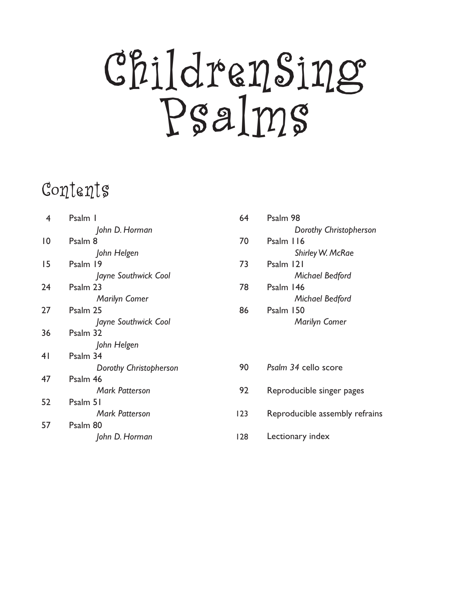# ChildrenSing Psalms

# Contents

| 4  | Psalm I                | 64  | Psalm 98                       |
|----|------------------------|-----|--------------------------------|
|    | John D. Horman         |     | Dorothy Christopherson         |
| 10 | Psalm 8                | 70  | Psalm 116                      |
|    | John Helgen            |     | <b>Shirley W. McRae</b>        |
| 15 | Psalm 19               | 73  | Psalm 121                      |
|    | Jayne Southwick Cool   |     | Michael Bedford                |
| 24 | Psalm 23               | 78  | Psalm 146                      |
|    | <b>Marilyn Comer</b>   |     | Michael Bedford                |
| 27 | Psalm 25               | 86  | Psalm 150                      |
|    | Jayne Southwick Cool   |     | <b>Marilyn Comer</b>           |
| 36 | Psalm 32               |     |                                |
|    | John Helgen            |     |                                |
| 41 | Psalm 34               |     |                                |
|    | Dorothy Christopherson | 90  | Psalm 34 cello score           |
| 47 | Psalm 46               |     |                                |
|    | <b>Mark Patterson</b>  | 92  | Reproducible singer pages      |
| 52 | Psalm 51               |     |                                |
|    | <b>Mark Patterson</b>  | 123 | Reproducible assembly refrains |
| 57 | Psalm 80               |     |                                |
|    | John D. Horman         | 128 | Lectionary index               |
|    |                        |     |                                |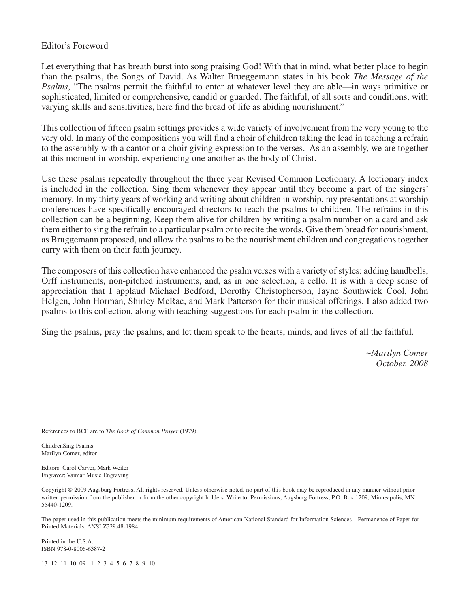### Editor's Foreword

Let everything that has breath burst into song praising God! With that in mind, what better place to begin than the psalms, the Songs of David. As Walter Brueggemann states in his book *The Message of the Psalms*, "The psalms permit the faithful to enter at whatever level they are able—in ways primitive or sophisticated, limited or comprehensive, candid or guarded. The faithful, of all sorts and conditions, with varying skills and sensitivities, here find the bread of life as abiding nourishment."

This collection of fifteen psalm settings provides a wide variety of involvement from the very young to the very old. In many of the compositions you will find a choir of children taking the lead in teaching a refrain to the assembly with a cantor or a choir giving expression to the verses. As an assembly, we are together at this moment in worship, experiencing one another as the body of Christ.

Use these psalms repeatedly throughout the three year Revised Common Lectionary. A lectionary index is included in the collection. Sing them whenever they appear until they become a part of the singers' memory. In my thirty years of working and writing about children in worship, my presentations at worship conferences have specifically encouraged directors to teach the psalms to children. The refrains in this collection can be a beginning. Keep them alive for children by writing a psalm number on a card and ask them either to sing the refrain to a particular psalm or to recite the words. Give them bread for nourishment, as Bruggemann proposed, and allow the psalms to be the nourishment children and congregations together carry with them on their faith journey.

The composers of this collection have enhanced the psalm verses with a variety of styles: adding handbells, Orff instruments, non-pitched instruments, and, as in one selection, a cello. It is with a deep sense of appreciation that I applaud Michael Bedford, Dorothy Christopherson, Jayne Southwick Cool, John Helgen, John Horman, Shirley McRae, and Mark Patterson for their musical offerings. I also added two psalms to this collection, along with teaching suggestions for each psalm in the collection.

Sing the psalms, pray the psalms, and let them speak to the hearts, minds, and lives of all the faithful.

*~Marilyn Comer October, 2008*

References to BCP are to *The Book of Common Prayer* (1979).

ChildrenSing Psalms Marilyn Comer, editor

Editors: Carol Carver, Mark Weiler Engraver: Vaimar Music Engraving

Copyright © 2009 Augsburg Fortress. All rights reserved. Unless otherwise noted, no part of this book may be reproduced in any manner without prior written permission from the publisher or from the other copyright holders. Write to: Permissions, Augsburg Fortress, P.O. Box 1209, Minneapolis, MN 55440-1209.

The paper used in this publication meets the minimum requirements of American National Standard for Information Sciences—Permanence of Paper for Printed Materials, ANSI Z329.48-1984.

Printed in the U.S.A. ISBN 978-0-8006-6387-2

13 12 11 10 09 1 2 3 4 5 6 7 8 9 10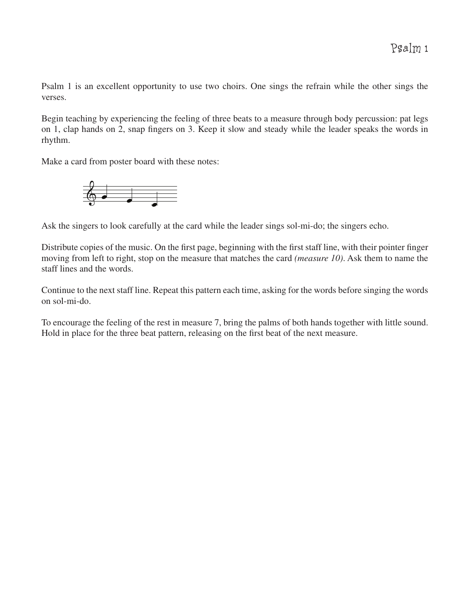Psalm 1 is an excellent opportunity to use two choirs. One sings the refrain while the other sings the verses.

Begin teaching by experiencing the feeling of three beats to a measure through body percussion: pat legs on 1, clap hands on 2, snap fingers on 3. Keep it slow and steady while the leader speaks the words in rhythm.

Make a card from poster board with these notes:



Ask the singers to look carefully at the card while the leader sings sol-mi-do; the singers echo.

Distribute copies of the music. On the first page, beginning with the first staff line, with their pointer finger moving from left to right, stop on the measure that matches the card *(measure 10)*. Ask them to name the staff lines and the words.

Continue to the next staff line. Repeat this pattern each time, asking for the words before singing the words on sol-mi-do.

To encourage the feeling of the rest in measure 7, bring the palms of both hands together with little sound. Hold in place for the three beat pattern, releasing on the first beat of the next measure.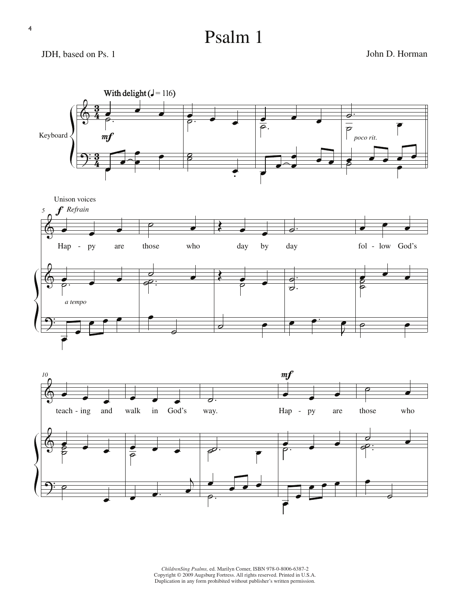## Psalm 1

### JDH, based on Ps. 1 John D. Horman





*ChildrenSing Psalms,* ed. Marilyn Comer, ISBN 978-0-8006-6387-2 Copyright © 2009 Augsburg Fortress. All rights reserved. Printed in U.S.A. Duplication in any form prohibited without publisher's written permission.